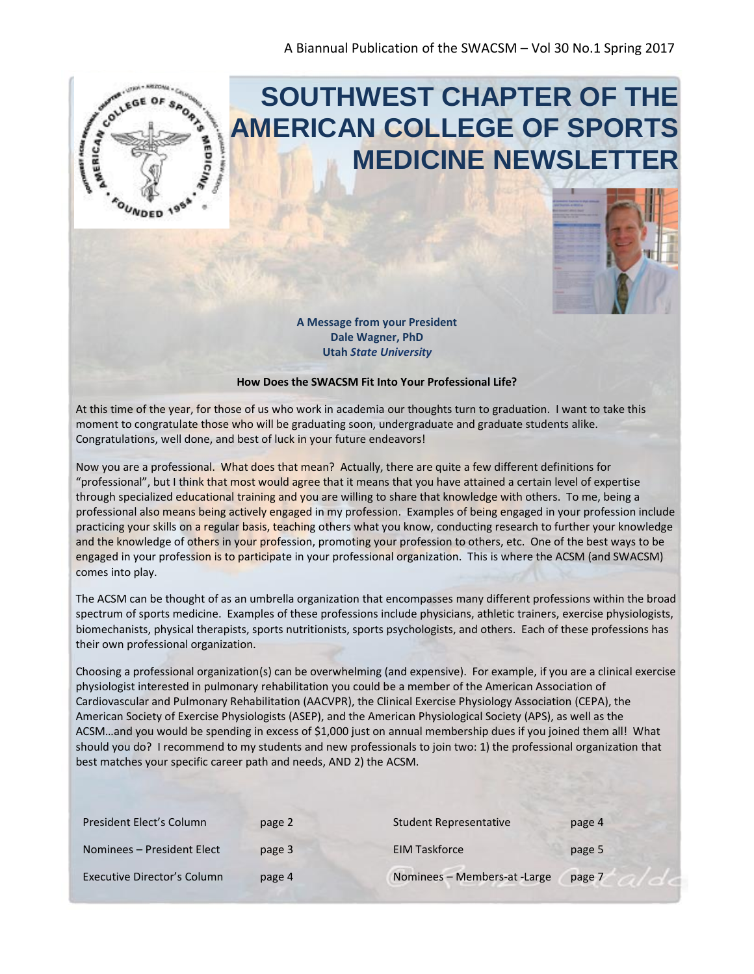

# **SOUTHWEST CHAPTER OF THE AMERICAN COLLEGE OF SPORTS MEDICINE NEWSLETTER**



**A Message from your President Dale Wagner, PhD Utah** *State University*

#### **How Does the SWACSM Fit Into Your Professional Life?**

At this time of the year, for those of us who work in academia our thoughts turn to graduation. I want to take this moment to congratulate those who will be graduating soon, undergraduate and graduate students alike. Congratulations, well done, and best of luck in your future endeavors!

Now you are a professional. What does that mean? Actually, there are quite a few different definitions for "professional", but I think that most would agree that it means that you have attained a certain level of expertise through specialized educational training and you are willing to share that knowledge with others. To me, being a professional also means being actively engaged in my profession. Examples of being engaged in your profession include practicing your skills on a regular basis, teaching others what you know, conducting research to further your knowledge and the knowledge of others in your profession, promoting your profession to others, etc. One of the best ways to be engaged in your profession is to participate in your professional organization. This is where the ACSM (and SWACSM) comes into play.

The ACSM can be thought of as an umbrella organization that encompasses many different professions within the broad spectrum of sports medicine. Examples of these professions include physicians, athletic trainers, exercise physiologists, biomechanists, physical therapists, sports nutritionists, sports psychologists, and others. Each of these professions has their own professional organization.

Choosing a professional organization(s) can be overwhelming (and expensive). For example, if you are a clinical exercise physiologist interested in pulmonary rehabilitation you could be a member of the American Association of Cardiovascular and Pulmonary Rehabilitation (AACVPR), the Clinical Exercise Physiology Association (CEPA), the American Society of Exercise Physiologists (ASEP), and the American Physiological Society (APS), as well as the ACSM…and you would be spending in excess of \$1,000 just on annual membership dues if you joined them all! What should you do? I recommend to my students and new professionals to join two: 1) the professional organization that best matches your specific career path and needs, AND 2) the ACSM.

| President Elect's Column    | page 2 | Student Representative       | page 4 |
|-----------------------------|--------|------------------------------|--------|
| Nominees – President Elect  | page 3 | <b>EIM Taskforce</b>         | page 5 |
| Executive Director's Column | page 4 | Nominees - Members-at -Large | page 7 |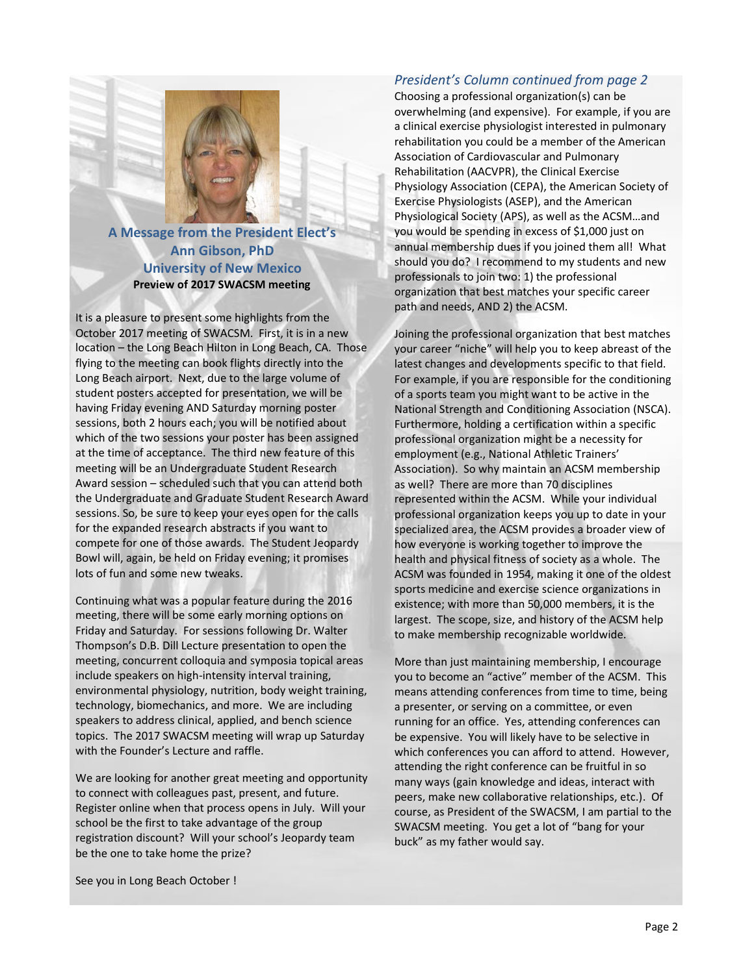#### **A Message from the President Elect's Ann Gibson, PhD University of New Mexico Preview of 2017 SWACSM meeting**

It is a pleasure to present some highlights from the October 2017 meeting of SWACSM. First, it is in a new location – the Long Beach Hilton in Long Beach, CA. Those flying to the meeting can book flights directly into the Long Beach airport. Next, due to the large volume of student posters accepted for presentation, we will be having Friday evening AND Saturday morning poster sessions, both 2 hours each; you will be notified about which of the two sessions your poster has been assigned at the time of acceptance. The third new feature of this meeting will be an Undergraduate Student Research Award session – scheduled such that you can attend both the Undergraduate and Graduate Student Research Award sessions. So, be sure to keep your eyes open for the calls for the expanded research abstracts if you want to compete for one of those awards. The Student Jeopardy Bowl will, again, be held on Friday evening; it promises lots of fun and some new tweaks.

Continuing what was a popular feature during the 2016 meeting, there will be some early morning options on Friday and Saturday. For sessions following Dr. Walter Thompson's D.B. Dill Lecture presentation to open the meeting, concurrent colloquia and symposia topical areas include speakers on high-intensity interval training, environmental physiology, nutrition, body weight training, technology, biomechanics, and more. We are including speakers to address clinical, applied, and bench science topics. The 2017 SWACSM meeting will wrap up Saturday with the Founder's Lecture and raffle.

We are looking for another great meeting and opportunity to connect with colleagues past, present, and future. Register online when that process opens in July. Will your school be the first to take advantage of the group registration discount? Will your school's Jeopardy team be the one to take home the prize?

#### *President's Column continued from page 2*

Choosing a professional organization(s) can be overwhelming (and expensive). For example, if you are a clinical exercise physiologist interested in pulmonary rehabilitation you could be a member of the American Association of Cardiovascular and Pulmonary Rehabilitation (AACVPR), the Clinical Exercise Physiology Association (CEPA), the American Society of Exercise Physiologists (ASEP), and the American Physiological Society (APS), as well as the ACSM…and you would be spending in excess of \$1,000 just on annual membership dues if you joined them all! What should you do? I recommend to my students and new professionals to join two: 1) the professional organization that best matches your specific career path and needs, AND 2) the ACSM.

Joining the professional organization that best matches your career "niche" will help you to keep abreast of the latest changes and developments specific to that field. For example, if you are responsible for the conditioning of a sports team you might want to be active in the National Strength and Conditioning Association (NSCA). Furthermore, holding a certification within a specific professional organization might be a necessity for employment (e.g., National Athletic Trainers' Association). So why maintain an ACSM membership as well? There are more than 70 disciplines represented within the ACSM. While your individual professional organization keeps you up to date in your specialized area, the ACSM provides a broader view of how everyone is working together to improve the health and physical fitness of society as a whole. The ACSM was founded in 1954, making it one of the oldest sports medicine and exercise science organizations in existence; with more than 50,000 members, it is the largest. The scope, size, and history of the ACSM help to make membership recognizable worldwide.

More than just maintaining membership, I encourage you to become an "active" member of the ACSM. This means attending conferences from time to time, being a presenter, or serving on a committee, or even running for an office. Yes, attending conferences can be expensive. You will likely have to be selective in which conferences you can afford to attend. However, attending the right conference can be fruitful in so many ways (gain knowledge and ideas, interact with peers, make new collaborative relationships, etc.). Of course, as President of the SWACSM, I am partial to the SWACSM meeting. You get a lot of "bang for your buck" as my father would say.

See you in Long Beach October !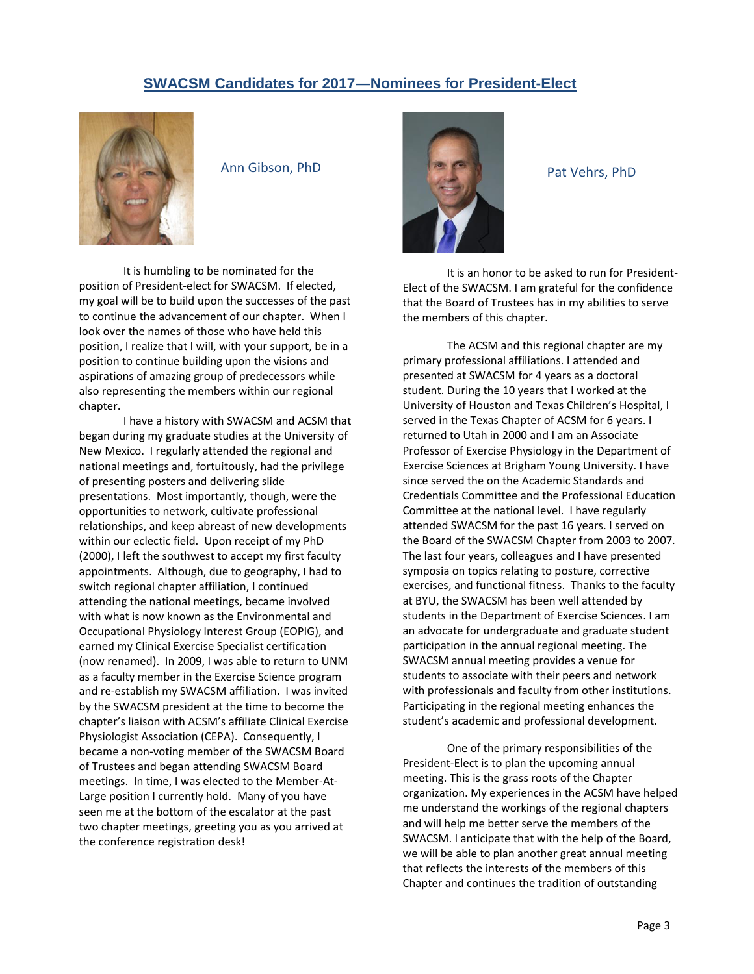#### **SWACSM Candidates for 2017—Nominees for President-Elect**



Ann Gibson, PhD

It is humbling to be nominated for the position of President-elect for SWACSM. If elected, my goal will be to build upon the successes of the past to continue the advancement of our chapter. When I look over the names of those who have held this position, I realize that I will, with your support, be in a position to continue building upon the visions and aspirations of amazing group of predecessors while also representing the members within our regional chapter.

I have a history with SWACSM and ACSM that began during my graduate studies at the University of New Mexico. I regularly attended the regional and national meetings and, fortuitously, had the privilege of presenting posters and delivering slide presentations. Most importantly, though, were the opportunities to network, cultivate professional relationships, and keep abreast of new developments within our eclectic field. Upon receipt of my PhD (2000), I left the southwest to accept my first faculty appointments. Although, due to geography, I had to switch regional chapter affiliation, I continued attending the national meetings, became involved with what is now known as the Environmental and Occupational Physiology Interest Group (EOPIG), and earned my Clinical Exercise Specialist certification (now renamed). In 2009, I was able to return to UNM as a faculty member in the Exercise Science program and re-establish my SWACSM affiliation. I was invited by the SWACSM president at the time to become the chapter's liaison with ACSM's affiliate Clinical Exercise Physiologist Association (CEPA). Consequently, I became a non-voting member of the SWACSM Board of Trustees and began attending SWACSM Board meetings. In time, I was elected to the Member-At-Large position I currently hold. Many of you have seen me at the bottom of the escalator at the past two chapter meetings, greeting you as you arrived at the conference registration desk!



Pat Vehrs, PhD

It is an honor to be asked to run for President-Elect of the SWACSM. I am grateful for the confidence that the Board of Trustees has in my abilities to serve the members of this chapter.

The ACSM and this regional chapter are my primary professional affiliations. I attended and presented at SWACSM for 4 years as a doctoral student. During the 10 years that I worked at the University of Houston and Texas Children's Hospital, I served in the Texas Chapter of ACSM for 6 years. I returned to Utah in 2000 and I am an Associate Professor of Exercise Physiology in the Department of Exercise Sciences at Brigham Young University. I have since served the on the Academic Standards and Credentials Committee and the Professional Education Committee at the national level. I have regularly attended SWACSM for the past 16 years. I served on the Board of the SWACSM Chapter from 2003 to 2007. The last four years, colleagues and I have presented symposia on topics relating to posture, corrective exercises, and functional fitness. Thanks to the faculty at BYU, the SWACSM has been well attended by students in the Department of Exercise Sciences. I am an advocate for undergraduate and graduate student participation in the annual regional meeting. The SWACSM annual meeting provides a venue for students to associate with their peers and network with professionals and faculty from other institutions. Participating in the regional meeting enhances the student's academic and professional development.

One of the primary responsibilities of the President-Elect is to plan the upcoming annual meeting. This is the grass roots of the Chapter organization. My experiences in the ACSM have helped me understand the workings of the regional chapters and will help me better serve the members of the SWACSM. I anticipate that with the help of the Board, we will be able to plan another great annual meeting that reflects the interests of the members of this Chapter and continues the tradition of outstanding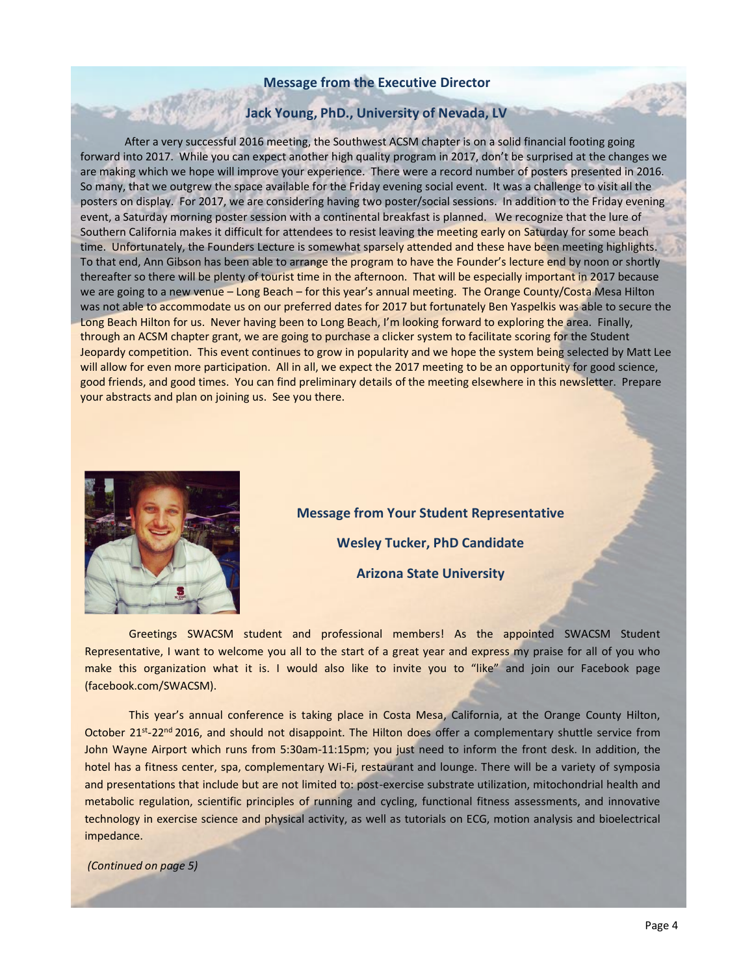#### **Message from the Executive Director**

#### **Jack Young, PhD., University of Nevada, LV**

After a very successful 2016 meeting, the Southwest ACSM chapter is on a solid financial footing going forward into 2017. While you can expect another high quality program in 2017, don't be surprised at the changes we are making which we hope will improve your experience. There were a record number of posters presented in 2016. So many, that we outgrew the space available for the Friday evening social event. It was a challenge to visit all the posters on display. For 2017, we are considering having two poster/social sessions. In addition to the Friday evening event, a Saturday morning poster session with a continental breakfast is planned. We recognize that the lure of Southern California makes it difficult for attendees to resist leaving the meeting early on Saturday for some beach time. Unfortunately, the Founders Lecture is somewhat sparsely attended and these have been meeting highlights. To that end, Ann Gibson has been able to arrange the program to have the Founder's lecture end by noon or shortly thereafter so there will be plenty of tourist time in the afternoon. That will be especially important in 2017 because we are going to a new venue – Long Beach – for this year's annual meeting. The Orange County/Costa Mesa Hilton was not able to accommodate us on our preferred dates for 2017 but fortunately Ben Yaspelkis was able to secure the Long Beach Hilton for us. Never having been to Long Beach, I'm looking forward to exploring the area. Finally, through an ACSM chapter grant, we are going to purchase a clicker system to facilitate scoring for the Student Jeopardy competition. This event continues to grow in popularity and we hope the system being selected by Matt Lee will allow for even more participation. All in all, we expect the 2017 meeting to be an opportunity for good science, good friends, and good times. You can find preliminary details of the meeting elsewhere in this newsletter. Prepare your abstracts and plan on joining us. See you there.



**Message from Your Student Representative Wesley Tucker, PhD Candidate Arizona State University**

Greetings SWACSM student and professional members! As the appointed SWACSM Student Representative, I want to welcome you all to the start of a great year and express my praise for all of you who make this organization what it is. I would also like to invite you to "like" and join our Facebook page (facebook.com/SWACSM).

This year's annual conference is taking place in Costa Mesa, California, at the Orange County Hilton, October 21<sup>st</sup>-22<sup>nd</sup> 2016, and should not disappoint. The Hilton does offer a complementary shuttle service from John Wayne Airport which runs from 5:30am-11:15pm; you just need to inform the front desk. In addition, the hotel has a fitness center, spa, complementary Wi-Fi, restaurant and lounge. There will be a variety of symposia and presentations that include but are not limited to: post-exercise substrate utilization, mitochondrial health and metabolic regulation, scientific principles of running and cycling, functional fitness assessments, and innovative technology in exercise science and physical activity, as well as tutorials on ECG, motion analysis and bioelectrical impedance.

*(Continued on page 5)*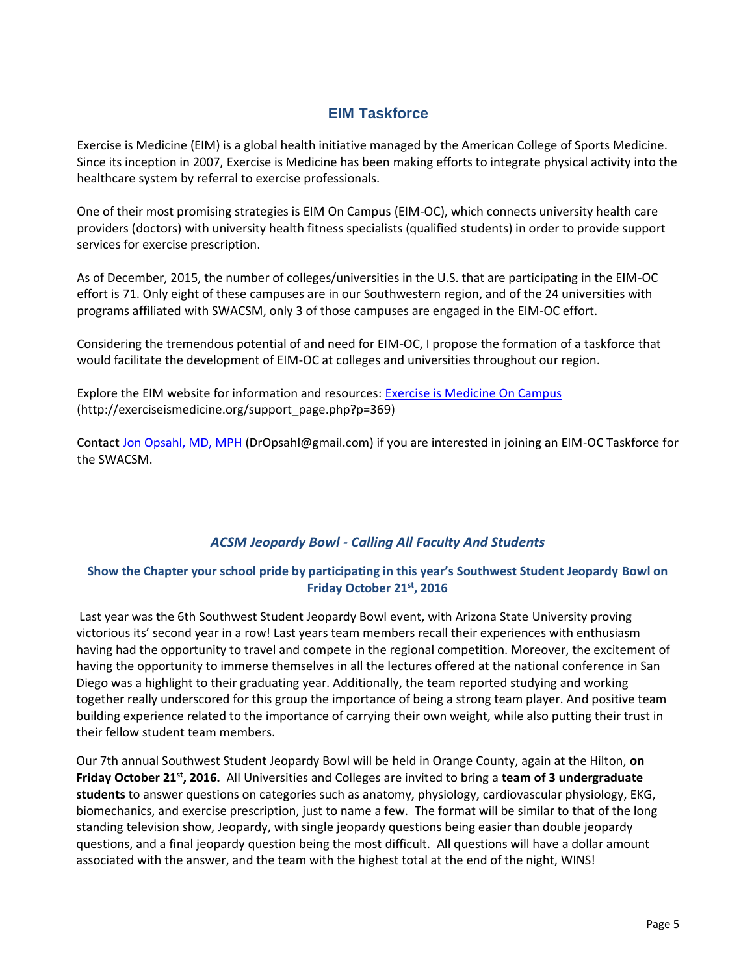#### **EIM Taskforce**

Exercise is Medicine (EIM) is a global health initiative managed by the American College of Sports Medicine. Since its inception in 2007, Exercise is Medicine has been making efforts to integrate physical activity into the healthcare system by referral to exercise professionals.

One of their most promising strategies is EIM On Campus (EIM-OC), which connects university health care providers (doctors) with university health fitness specialists (qualified students) in order to provide support services for exercise prescription.

As of December, 2015, the number of colleges/universities in the U.S. that are participating in the EIM-OC effort is 71. Only eight of these campuses are in our Southwestern region, and of the 24 universities with programs affiliated with SWACSM, only 3 of those campuses are engaged in the EIM-OC effort.

Considering the tremendous potential of and need for EIM-OC, I propose the formation of a taskforce that would facilitate the development of EIM-OC at colleges and universities throughout our region.

Explore the EIM website for information and resources: [Exercise is Medicine On Campus](http://exerciseismedicine.org/support_page.php?p=369) (http://exerciseismedicine.org/support\_page.php?p=369)

Contac[t Jon Opsahl, MD, MPH](mailto:DrOpsahl@gmail.com) (DrOpsahl@gmail.com) if you are interested in joining an EIM-OC Taskforce for the SWACSM.

#### *ACSM Jeopardy Bowl - Calling All Faculty And Students*

#### **Show the Chapter your school pride by participating in this year's Southwest Student Jeopardy Bowl on Friday October 21st, 2016**

Last year was the 6th Southwest Student Jeopardy Bowl event, with Arizona State University proving victorious its' second year in a row! Last years team members recall their experiences with enthusiasm having had the opportunity to travel and compete in the regional competition. Moreover, the excitement of having the opportunity to immerse themselves in all the lectures offered at the national conference in San Diego was a highlight to their graduating year. Additionally, the team reported studying and working together really underscored for this group the importance of being a strong team player. And positive team building experience related to the importance of carrying their own weight, while also putting their trust in their fellow student team members.

Our 7th annual Southwest Student Jeopardy Bowl will be held in Orange County, again at the Hilton, **on Friday October 21st, 2016.** All Universities and Colleges are invited to bring a **team of 3 undergraduate students** to answer questions on categories such as anatomy, physiology, cardiovascular physiology, EKG, biomechanics, and exercise prescription, just to name a few. The format will be similar to that of the long standing television show, Jeopardy, with single jeopardy questions being easier than double jeopardy questions, and a final jeopardy question being the most difficult. All questions will have a dollar amount associated with the answer, and the team with the highest total at the end of the night, WINS!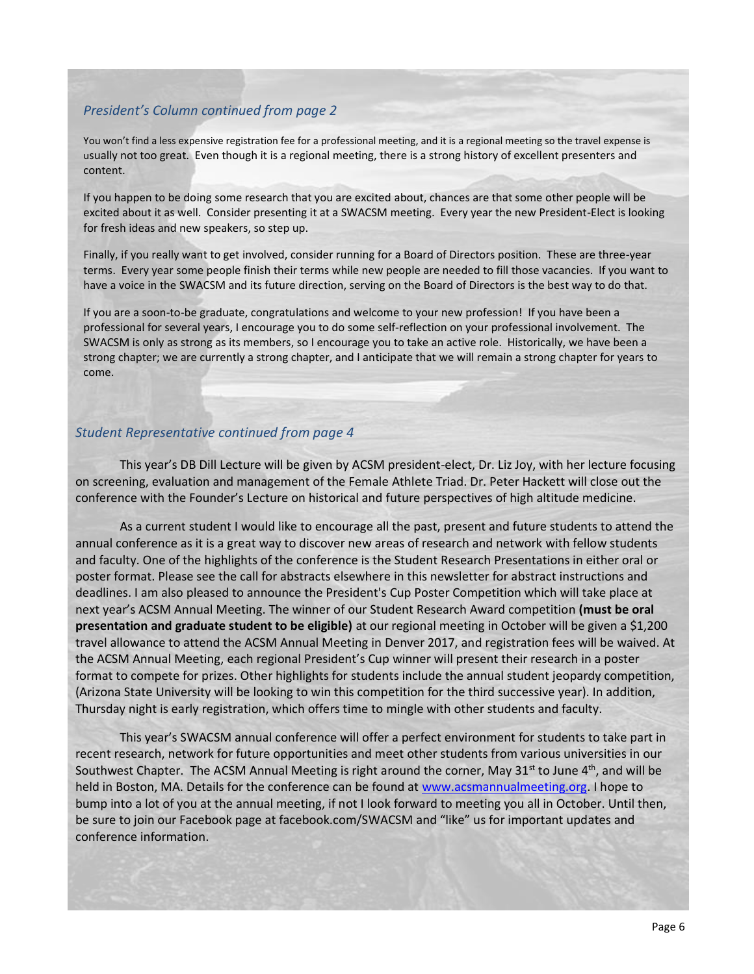#### *President's Column continued from page 2*

You won't find a less expensive registration fee for a professional meeting, and it is a regional meeting so the travel expense is usually not too great. Even though it is a regional meeting, there is a strong history of excellent presenters and content.

If you happen to be doing some research that you are excited about, chances are that some other people will be excited about it as well. Consider presenting it at a SWACSM meeting. Every year the new President-Elect is looking for fresh ideas and new speakers, so step up.

Finally, if you really want to get involved, consider running for a Board of Directors position. These are three-year terms. Every year some people finish their terms while new people are needed to fill those vacancies. If you want to have a voice in the SWACSM and its future direction, serving on the Board of Directors is the best way to do that.

If you are a soon-to-be graduate, congratulations and welcome to your new profession! If you have been a professional for several years, I encourage you to do some self-reflection on your professional involvement. The SWACSM is only as strong as its members, so I encourage you to take an active role. Historically, we have been a strong chapter; we are currently a strong chapter, and I anticipate that we will remain a strong chapter for years to come.

#### *Student Representative continued from page 4*

This year's DB Dill Lecture will be given by ACSM president-elect, Dr. Liz Joy, with her lecture focusing on screening, evaluation and management of the Female Athlete Triad. Dr. Peter Hackett will close out the conference with the Founder's Lecture on historical and future perspectives of high altitude medicine.

As a current student I would like to encourage all the past, present and future students to attend the annual conference as it is a great way to discover new areas of research and network with fellow students and faculty. One of the highlights of the conference is the Student Research Presentations in either oral or poster format. Please see the call for abstracts elsewhere in this newsletter for abstract instructions and deadlines. I am also pleased to announce the President's Cup Poster Competition which will take place at next year's ACSM Annual Meeting. The winner of our Student Research Award competition **(must be oral presentation and graduate student to be eligible)** at our regional meeting in October will be given a \$1,200 travel allowance to attend the ACSM Annual Meeting in Denver 2017, and registration fees will be waived. At the ACSM Annual Meeting, each regional President's Cup winner will present their research in a poster format to compete for prizes. Other highlights for students include the annual student jeopardy competition, (Arizona State University will be looking to win this competition for the third successive year). In addition, Thursday night is early registration, which offers time to mingle with other students and faculty.

This year's SWACSM annual conference will offer a perfect environment for students to take part in recent research, network for future opportunities and meet other students from various universities in our Southwest Chapter. The ACSM Annual Meeting is right around the corner, May 31<sup>st</sup> to June 4<sup>th</sup>, and will be held in Boston, MA. Details for the conference can be found a[t www.acsmannualmeeting.org.](http://www.acsmannualmeeting.org/) I hope to bump into a lot of you at the annual meeting, if not I look forward to meeting you all in October. Until then, be sure to join our Facebook page at facebook.com/SWACSM and "like" us for important updates and conference information.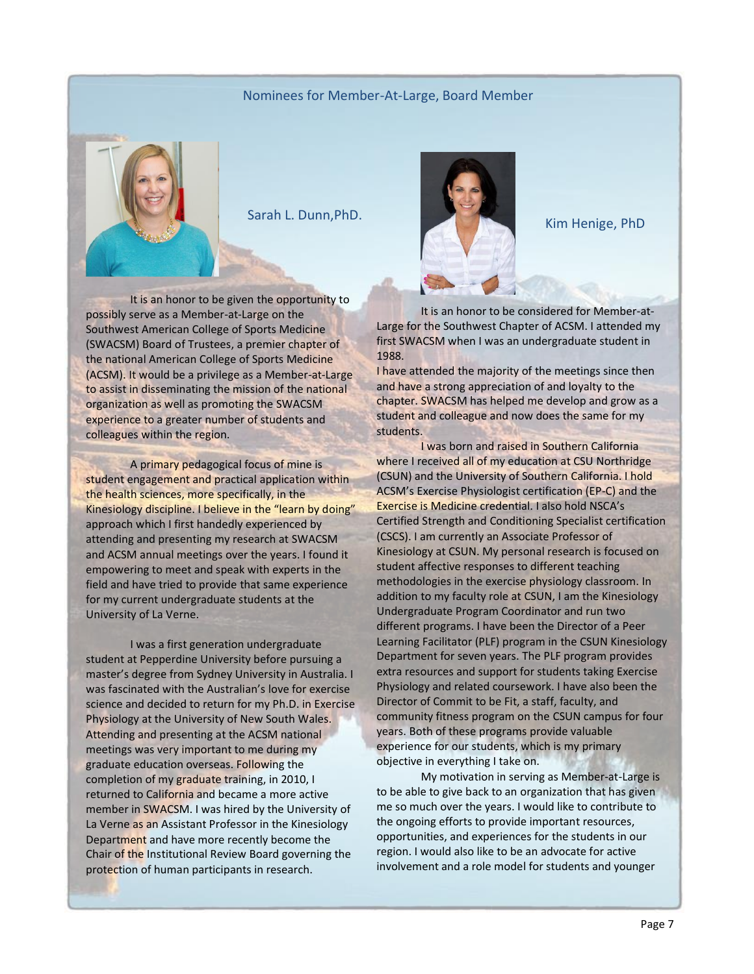#### Nominees for Member-At-Large, Board Member



It is an honor to be given the opportunity to possibly serve as a Member-at-Large on the Southwest American College of Sports Medicine (SWACSM) Board of Trustees, a premier chapter of the national American College of Sports Medicine (ACSM). It would be a privilege as a Member-at-Large to assist in disseminating the mission of the national organization as well as promoting the SWACSM experience to a greater number of students and colleagues within the region.

A primary pedagogical focus of mine is student engagement and practical application within the health sciences, more specifically, in the Kinesiology discipline. I believe in the "learn by doing" approach which I first handedly experienced by attending and presenting my research at SWACSM and ACSM annual meetings over the years. I found it empowering to meet and speak with experts in the field and have tried to provide that same experience for my current undergraduate students at the University of La Verne.

I was a first generation undergraduate student at Pepperdine University before pursuing a master's degree from Sydney University in Australia. I was fascinated with the Australian's love for exercise science and decided to return for my Ph.D. in Exercise Physiology at the University of New South Wales. Attending and presenting at the ACSM national meetings was very important to me during my graduate education overseas. Following the completion of my graduate training, in 2010, I returned to California and became a more active member in SWACSM. I was hired by the University of La Verne as an Assistant Professor in the Kinesiology Department and have more recently become the Chair of the Institutional Review Board governing the protection of human participants in research.



It is an honor to be considered for Member-at-Large for the Southwest Chapter of ACSM. I attended my first SWACSM when I was an undergraduate student in 1988.

I have attended the majority of the meetings since then and have a strong appreciation of and loyalty to the chapter. SWACSM has helped me develop and grow as a student and colleague and now does the same for my students.

I was born and raised in Southern California where I received all of my education at CSU Northridge (CSUN) and the University of Southern California. I hold ACSM's Exercise Physiologist certification (EP-C) and the Exercise is Medicine credential. I also hold NSCA's Certified Strength and Conditioning Specialist certification (CSCS). I am currently an Associate Professor of Kinesiology at CSUN. My personal research is focused on student affective responses to different teaching methodologies in the exercise physiology classroom. In addition to my faculty role at CSUN, I am the Kinesiology Undergraduate Program Coordinator and run two different programs. I have been the Director of a Peer Learning Facilitator (PLF) program in the CSUN Kinesiology Department for seven years. The PLF program provides extra resources and support for students taking Exercise Physiology and related coursework. I have also been the Director of Commit to be Fit, a staff, faculty, and community fitness program on the CSUN campus for four years. Both of these programs provide valuable experience for our students, which is my primary objective in everything I take on.

My motivation in serving as Member-at-Large is to be able to give back to an organization that has given me so much over the years. I would like to contribute to the ongoing efforts to provide important resources, opportunities, and experiences for the students in our region. I would also like to be an advocate for active involvement and a role model for students and younger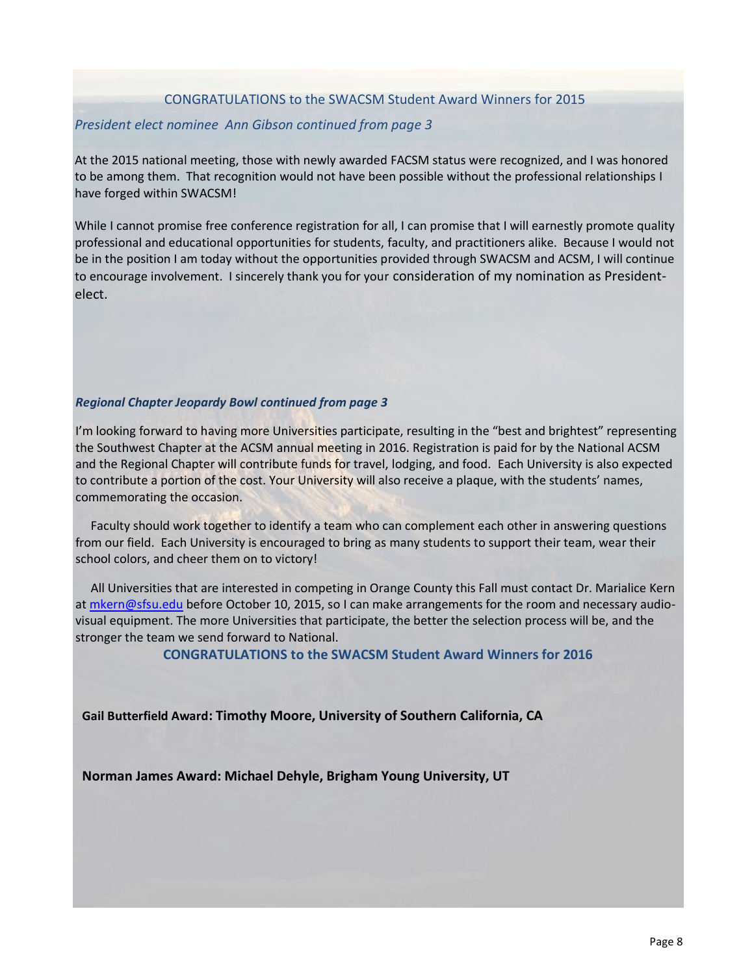#### CONGRATULATIONS to the SWACSM Student Award Winners for 2015

#### *President elect nominee Ann Gibson continued from page 3*

At the 2015 national meeting, those with newly awarded FACSM status were recognized, and I was honored to be among them. That recognition would not have been possible without the professional relationships I have forged within SWACSM!

While I cannot promise free conference registration for all, I can promise that I will earnestly promote quality professional and educational opportunities for students, faculty, and practitioners alike. Because I would not be in the position I am today without the opportunities provided through SWACSM and ACSM, I will continue to encourage involvement. I sincerely thank you for your consideration of my nomination as Presidentelect.

#### *Regional Chapter Jeopardy Bowl continued from page 3*

I'm looking forward to having more Universities participate, resulting in the "best and brightest" representing the Southwest Chapter at the ACSM annual meeting in 2016. Registration is paid for by the National ACSM and the Regional Chapter will contribute funds for travel, lodging, and food. Each University is also expected to contribute a portion of the cost. Your University will also receive a plaque, with the students' names, commemorating the occasion.

Faculty should work together to identify a team who can complement each other in answering questions from our field. Each University is encouraged to bring as many students to support their team, wear their school colors, and cheer them on to victory!

All Universities that are interested in competing in Orange County this Fall must contact Dr. Marialice Kern a[t mkern@sfsu.edu](mailto:mkern@sfsu.edu) before October 10, 2015, so I can make arrangements for the room and necessary audiovisual equipment. The more Universities that participate, the better the selection process will be, and the stronger the team we send forward to National.

**CONGRATULATIONS to the SWACSM Student Award Winners for 2016**

**Gail Butterfield Award: Timothy Moore, University of Southern California, CA**

**Norman James Award: Michael Dehyle, Brigham Young University, UT**